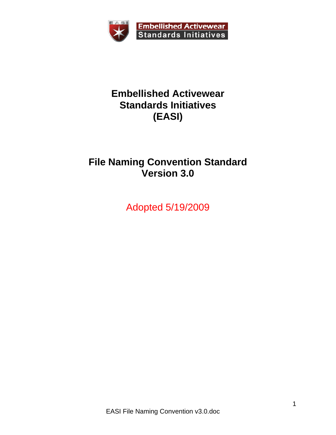

### **Embellished Activewear Standards Initiatives (EASI)**

# **File Naming Convention Standard Version 3.0**

Adopted 5/19/2009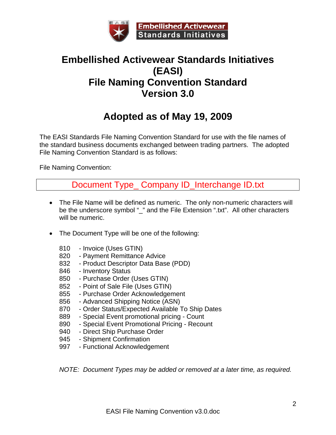

### **Embellished Activewear Standards Initiatives (EASI) File Naming Convention Standard Version 3.0**

# **Adopted as of May 19, 2009**

The EASI Standards File Naming Convention Standard for use with the file names of the standard business documents exchanged between trading partners. The adopted File Naming Convention Standard is as follows:

File Naming Convention:

Document Type\_ Company ID\_Interchange ID.txt

- The File Name will be defined as numeric. The only non-numeric characters will be the underscore symbol "\_" and the File Extension ".txt". All other characters will be numeric.
- The Document Type will be one of the following:
	- 810 Invoice (Uses GTIN)
	- 820 Payment Remittance Advice
	- 832 Product Descriptor Data Base (PDD)
	- 846 Inventory Status
	- 850 Purchase Order (Uses GTIN)
	- 852 Point of Sale File (Uses GTIN)
	- 855 Purchase Order Acknowledgement
	- 856 Advanced Shipping Notice (ASN)
	- 870 Order Status/Expected Available To Ship Dates
	- 889 Special Event promotional pricing Count
	- 890 Special Event Promotional Pricing Recount
	- 940 Direct Ship Purchase Order
	- 945 Shipment Confirmation
	- 997 Functional Acknowledgement

*NOTE: Document Types may be added or removed at a later time, as required.*